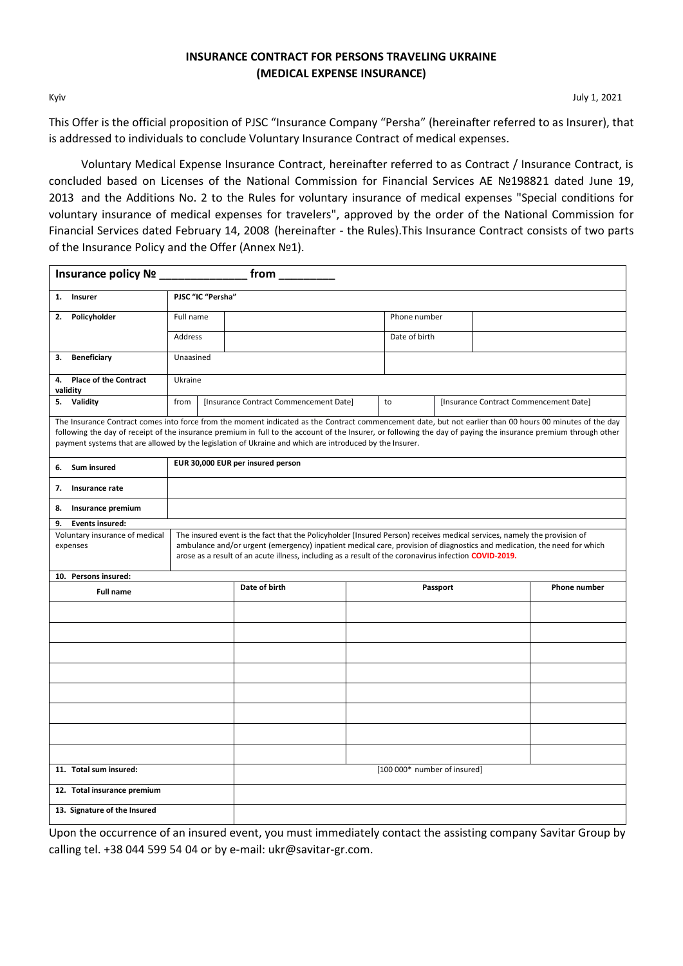## **INSURANCE CONTRACT FOR PERSONS TRAVELING UKRAINE (MEDICAL EXPENSE INSURANCE)**

Kyiv July 1, 2021

This Offer is the official proposition of PJSC "Insurance Company "Persha" (hereinafter referred to as Insurer), that is addressed to individuals to conclude Voluntary Insurance Contract of medical expenses.

Voluntary Medical Expense Insurance Contract, hereinafter referred to as Contract / Insurance Contract, is concluded based on Licenses of the National Commission for Financial Services АЕ №198821 dated June 19, 2013 and the Additions No. 2 to the Rules for voluntary insurance of medical expenses "Special conditions for voluntary insurance of medical expenses for travelers", approved by the order of the National Commission for Financial Services dated February 14, 2008 (hereinafter - the Rules).This Insurance Contract consists of two parts of the Insurance Policy and the Offer (Annex №1).

| Insurance policy Nº _________                                                                                                                                                                                                                                                                                                                                                                                                                                               |                                                                                                                                                                                                                                  |                                        |                                              |          |                     |  |
|-----------------------------------------------------------------------------------------------------------------------------------------------------------------------------------------------------------------------------------------------------------------------------------------------------------------------------------------------------------------------------------------------------------------------------------------------------------------------------|----------------------------------------------------------------------------------------------------------------------------------------------------------------------------------------------------------------------------------|----------------------------------------|----------------------------------------------|----------|---------------------|--|
| Insurer<br>1.                                                                                                                                                                                                                                                                                                                                                                                                                                                               | PJSC "IC "Persha"                                                                                                                                                                                                                |                                        |                                              |          |                     |  |
| Policyholder<br>2.                                                                                                                                                                                                                                                                                                                                                                                                                                                          | Full name                                                                                                                                                                                                                        |                                        | Phone number                                 |          |                     |  |
|                                                                                                                                                                                                                                                                                                                                                                                                                                                                             | Address                                                                                                                                                                                                                          |                                        | Date of birth                                |          |                     |  |
| <b>Beneficiary</b><br>3.                                                                                                                                                                                                                                                                                                                                                                                                                                                    | Unaasined                                                                                                                                                                                                                        |                                        |                                              |          |                     |  |
| <b>Place of the Contract</b><br>4.<br>validity                                                                                                                                                                                                                                                                                                                                                                                                                              | Ukraine                                                                                                                                                                                                                          |                                        |                                              |          |                     |  |
| Validity<br>5.                                                                                                                                                                                                                                                                                                                                                                                                                                                              | from                                                                                                                                                                                                                             | [Insurance Contract Commencement Date] | [Insurance Contract Commencement Date]<br>to |          |                     |  |
| The Insurance Contract comes into force from the moment indicated as the Contract commencement date, but not earlier than 00 hours 00 minutes of the day<br>following the day of receipt of the insurance premium in full to the account of the Insurer, or following the day of paying the insurance premium through other<br>payment systems that are allowed by the legislation of Ukraine and which are introduced by the Insurer.<br>EUR 30,000 EUR per insured person |                                                                                                                                                                                                                                  |                                        |                                              |          |                     |  |
| <b>Sum insured</b><br>6.                                                                                                                                                                                                                                                                                                                                                                                                                                                    |                                                                                                                                                                                                                                  |                                        |                                              |          |                     |  |
| 7.<br>Insurance rate                                                                                                                                                                                                                                                                                                                                                                                                                                                        |                                                                                                                                                                                                                                  |                                        |                                              |          |                     |  |
| Insurance premium<br>8.                                                                                                                                                                                                                                                                                                                                                                                                                                                     |                                                                                                                                                                                                                                  |                                        |                                              |          |                     |  |
| 9.<br><b>Events insured:</b><br>Voluntary insurance of medical                                                                                                                                                                                                                                                                                                                                                                                                              | The insured event is the fact that the Policyholder (Insured Person) receives medical services, namely the provision of                                                                                                          |                                        |                                              |          |                     |  |
| expenses                                                                                                                                                                                                                                                                                                                                                                                                                                                                    | ambulance and/or urgent (emergency) inpatient medical care, provision of diagnostics and medication, the need for which<br>arose as a result of an acute illness, including as a result of the coronavirus infection COVID-2019. |                                        |                                              |          |                     |  |
| 10. Persons insured:                                                                                                                                                                                                                                                                                                                                                                                                                                                        |                                                                                                                                                                                                                                  |                                        |                                              |          |                     |  |
| <b>Full name</b>                                                                                                                                                                                                                                                                                                                                                                                                                                                            |                                                                                                                                                                                                                                  | Date of birth                          |                                              | Passport | <b>Phone number</b> |  |
|                                                                                                                                                                                                                                                                                                                                                                                                                                                                             |                                                                                                                                                                                                                                  |                                        |                                              |          |                     |  |
|                                                                                                                                                                                                                                                                                                                                                                                                                                                                             |                                                                                                                                                                                                                                  |                                        |                                              |          |                     |  |
|                                                                                                                                                                                                                                                                                                                                                                                                                                                                             |                                                                                                                                                                                                                                  |                                        |                                              |          |                     |  |
|                                                                                                                                                                                                                                                                                                                                                                                                                                                                             |                                                                                                                                                                                                                                  |                                        |                                              |          |                     |  |
|                                                                                                                                                                                                                                                                                                                                                                                                                                                                             |                                                                                                                                                                                                                                  |                                        |                                              |          |                     |  |
|                                                                                                                                                                                                                                                                                                                                                                                                                                                                             |                                                                                                                                                                                                                                  |                                        |                                              |          |                     |  |
|                                                                                                                                                                                                                                                                                                                                                                                                                                                                             |                                                                                                                                                                                                                                  |                                        |                                              |          |                     |  |
|                                                                                                                                                                                                                                                                                                                                                                                                                                                                             |                                                                                                                                                                                                                                  |                                        |                                              |          |                     |  |
| 11. Total sum insured:                                                                                                                                                                                                                                                                                                                                                                                                                                                      |                                                                                                                                                                                                                                  |                                        | [100 000* number of insured]                 |          |                     |  |
| 12. Total insurance premium                                                                                                                                                                                                                                                                                                                                                                                                                                                 |                                                                                                                                                                                                                                  |                                        |                                              |          |                     |  |
| 13. Signature of the Insured                                                                                                                                                                                                                                                                                                                                                                                                                                                |                                                                                                                                                                                                                                  |                                        |                                              |          |                     |  |

Upon the occurrence of an insured event, you must immediately contact the assisting company Savitar Group by calling tel. +38 044 599 54 04 or by e-mail: [ukr@savitar-gr.com.](mailto:ukr@savitar-gr.com)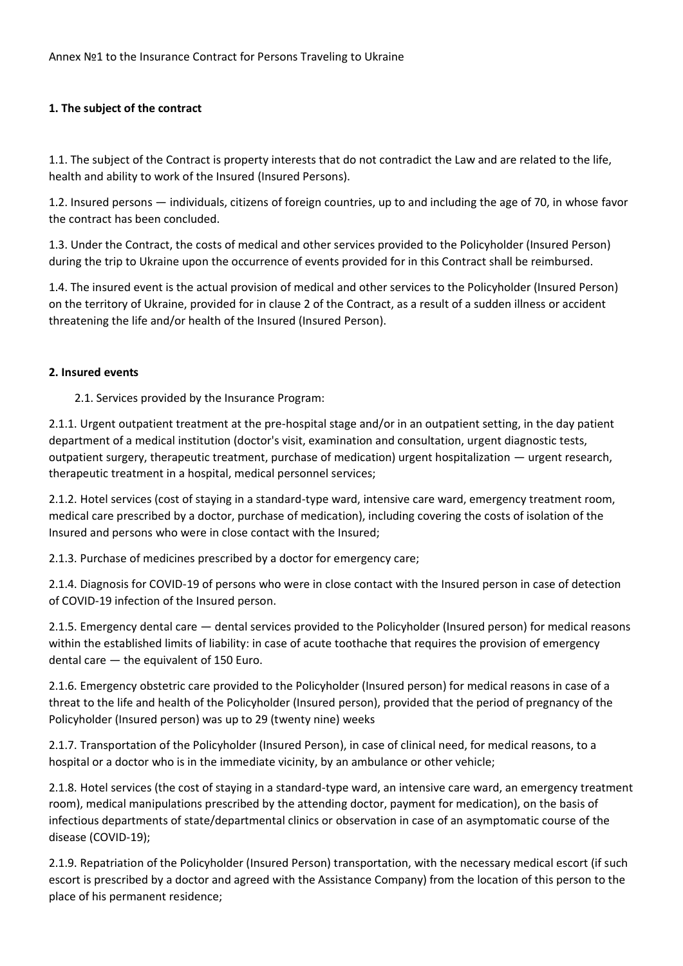## **1. The subject of the contract**

1.1. The subject of the Contract is property interests that do not contradict the Law and are related to the life, health and ability to work of the Insured (Insured Persons).

1.2. Insured persons — individuals, citizens of foreign countries, up to and including the age of 70, in whose favor the contract has been concluded.

1.3. Under the Contract, the costs of medical and other services provided to the Policyholder (Insured Person) during the trip to Ukraine upon the occurrence of events provided for in this Contract shall be reimbursed.

1.4. The insured event is the actual provision of medical and other services to the Policyholder (Insured Person) on the territory of Ukraine, provided for in clause 2 of the Contract, as a result of a sudden illness or accident threatening the life and/or health of the Insured (Insured Person).

## **2. Insured events**

2.1. Services provided by the Insurance Program:

2.1.1. Urgent outpatient treatment at the pre-hospital stage and/or in an outpatient setting, in the day patient department of a medical institution (doctor's visit, examination and consultation, urgent diagnostic tests, outpatient surgery, therapeutic treatment, purchase of medication) urgent hospitalization — urgent research, therapeutic treatment in a hospital, medical personnel services;

2.1.2. Hotel services (cost of staying in a standard-type ward, intensive care ward, emergency treatment room, medical care prescribed by a doctor, purchase of medication), including covering the costs of isolation of the Insured and persons who were in close contact with the Insured;

2.1.3. Purchase of medicines prescribed by a doctor for emergency care;

2.1.4. Diagnosis for COVID-19 of persons who were in close contact with the Insured person in case of detection of COVID-19 infection of the Insured person.

2.1.5. Emergency dental care — dental services provided to the Policyholder (Insured person) for medical reasons within the established limits of liability: in case of acute toothache that requires the provision of emergency dental care — the equivalent of 150 Euro.

2.1.6. Emergency obstetric care provided to the Policyholder (Insured person) for medical reasons in case of a threat to the life and health of the Policyholder (Insured person), provided that the period of pregnancy of the Policyholder (Insured person) was up to 29 (twenty nine) weeks

2.1.7. Transportation of the Policyholder (Insured Person), in case of clinical need, for medical reasons, to a hospital or a doctor who is in the immediate vicinity, by an ambulance or other vehicle;

2.1.8. Hotel services (the cost of staying in a standard-type ward, an intensive care ward, an emergency treatment room), medical manipulations prescribed by the attending doctor, payment for medication), on the basis of infectious departments of state/departmental clinics or observation in case of an asymptomatic course of the disease (COVID-19);

2.1.9. Repatriation of the Policyholder (Insured Person) transportation, with the necessary medical escort (if such escort is prescribed by a doctor and agreed with the Assistance Company) from the location of this person to the place of his permanent residence;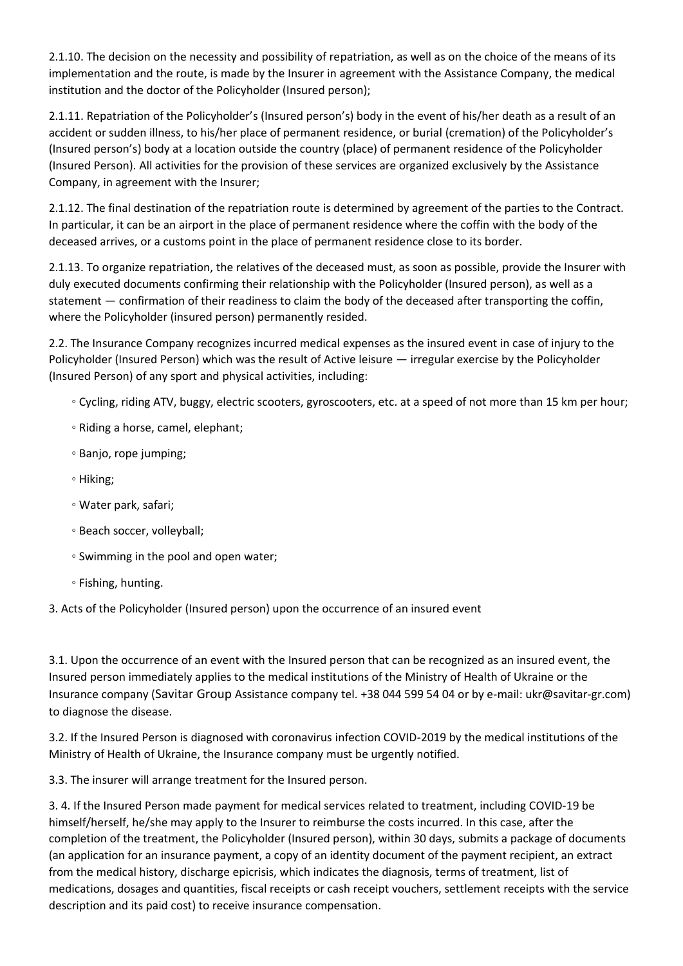2.1.10. The decision on the necessity and possibility of repatriation, as well as on the choice of the means of its implementation and the route, is made by the Insurer in agreement with the Assistance Company, the medical institution and the doctor of the Policyholder (Insured person);

2.1.11. Repatriation of the Policyholder's (Insured person's) body in the event of his/her death as a result of an accident or sudden illness, to his/her place of permanent residence, or burial (cremation) of the Policyholder's (Insured person's) body at a location outside the country (place) of permanent residence of the Policyholder (Insured Person). All activities for the provision of these services are organized exclusively by the Assistance Company, in agreement with the Insurer;

2.1.12. The final destination of the repatriation route is determined by agreement of the parties to the Contract. In particular, it can be an airport in the place of permanent residence where the coffin with the body of the deceased arrives, or a customs point in the place of permanent residence close to its border.

2.1.13. To organize repatriation, the relatives of the deceased must, as soon as possible, provide the Insurer with duly executed documents confirming their relationship with the Policyholder (Insured person), as well as a statement — confirmation of their readiness to claim the body of the deceased after transporting the coffin, where the Policyholder (insured person) permanently resided.

2.2. The Insurance Company recognizes incurred medical expenses as the insured event in case of injury to the Policyholder (Insured Person) which was the result of Active leisure — irregular exercise by the Policyholder (Insured Person) of any sport and physical activities, including:

- Cycling, riding ATV, buggy, electric scooters, gyroscooters, etc. at a speed of not more than 15 km per hour;
- Riding a horse, camel, elephant;
- Banjo, rope jumping;
- Hiking;
- Water park, safari;
- Beach soccer, volleyball;
- Swimming in the pool and open water;
- Fishing, hunting.

3. Acts of the Policyholder (Insured person) upon the occurrence of an insured event

3.1. Upon the occurrence of an event with the Insured person that can be recognized as an insured event, the Insured person immediately applies to the medical institutions of the Ministry of Health of Ukraine or the Insurance company (Savitar Group Assistance company tel. +38 044 599 54 04 or by e-mail: [ukr@savitar-gr.com\)](mailto:ukr@savitar-gr.com) to diagnose the disease.

3.2. If the Insured Person is diagnosed with coronavirus infection COVID-2019 by the medical institutions of the Ministry of Health of Ukraine, the Insurance company must be urgently notified.

3.3. The insurer will arrange treatment for the Insured person.

3. 4. If the Insured Person made payment for medical services related to treatment, including COVID-19 be himself/herself, he/she may apply to the Insurer to reimburse the costs incurred. In this case, after the completion of the treatment, the Policyholder (Insured person), within 30 days, submits a package of documents (an application for an insurance payment, a copy of an identity document of the payment recipient, an extract from the medical history, discharge epicrisis, which indicates the diagnosis, terms of treatment, list of medications, dosages and quantities, fiscal receipts or cash receipt vouchers, settlement receipts with the service description and its paid cost) to receive insurance compensation.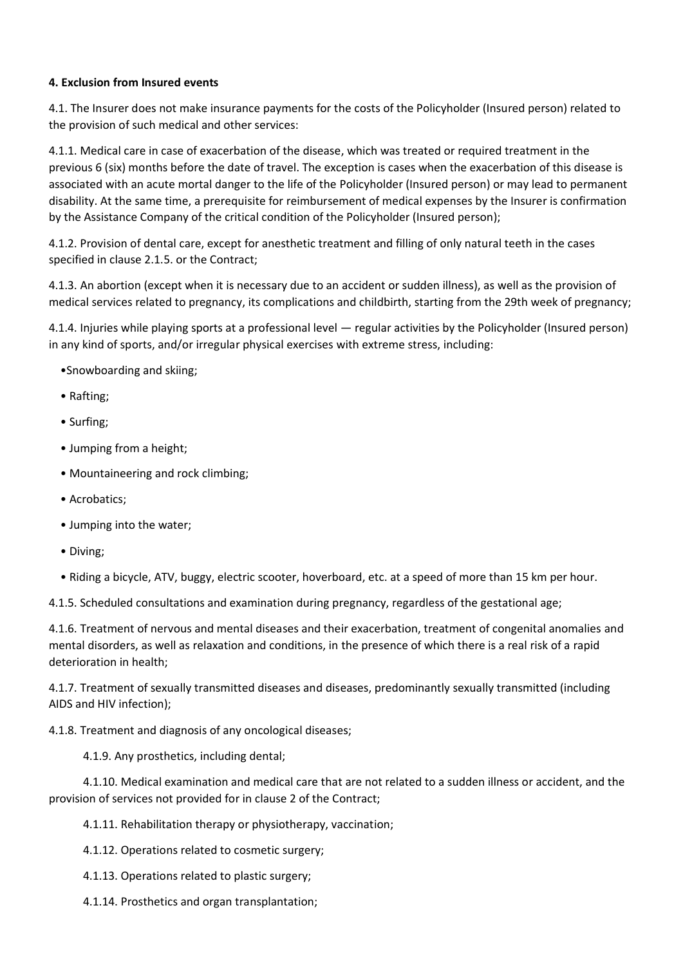### **4. Exclusion from Insured events**

4.1. The Insurer does not make insurance payments for the costs of the Policyholder (Insured person) related to the provision of such medical and other services:

4.1.1. Medical care in case of exacerbation of the disease, which was treated or required treatment in the previous 6 (six) months before the date of travel. The exception is cases when the exacerbation of this disease is associated with an acute mortal danger to the life of the Policyholder (Insured person) or may lead to permanent disability. At the same time, a prerequisite for reimbursement of medical expenses by the Insurer is confirmation by the Assistance Company of the critical condition of the Policyholder (Insured person);

4.1.2. Provision of dental care, except for anesthetic treatment and filling of only natural teeth in the cases specified in clause 2.1.5. or the Contract;

4.1.3. An abortion (except when it is necessary due to an accident or sudden illness), as well as the provision of medical services related to pregnancy, its complications and childbirth, starting from the 29th week of pregnancy;

4.1.4. Injuries while playing sports at a professional level — regular activities by the Policyholder (Insured person) in any kind of sports, and/or irregular physical exercises with extreme stress, including:

- •Snowboarding and skiing;
- Rafting;
- Surfing;
- Jumping from a height;
- Mountaineering and rock climbing;
- Acrobatics;
- Jumping into the water;
- Diving;
- Riding a bicycle, ATV, buggy, electric scooter, hoverboard, etc. at a speed of more than 15 km per hour.

4.1.5. Scheduled consultations and examination during pregnancy, regardless of the gestational age;

4.1.6. Treatment of nervous and mental diseases and their exacerbation, treatment of congenital anomalies and mental disorders, as well as relaxation and conditions, in the presence of which there is a real risk of a rapid deterioration in health;

4.1.7. Treatment of sexually transmitted diseases and diseases, predominantly sexually transmitted (including AIDS and HIV infection);

4.1.8. Treatment and diagnosis of any oncological diseases;

4.1.9. Any prosthetics, including dental;

 4.1.10. Medical examination and medical care that are not related to a sudden illness or accident, and the provision of services not provided for in clause 2 of the Contract;

4.1.11. Rehabilitation therapy or physiotherapy, vaccination;

- 4.1.12. Operations related to cosmetic surgery;
- 4.1.13. Operations related to plastic surgery;
- 4.1.14. Prosthetics and organ transplantation;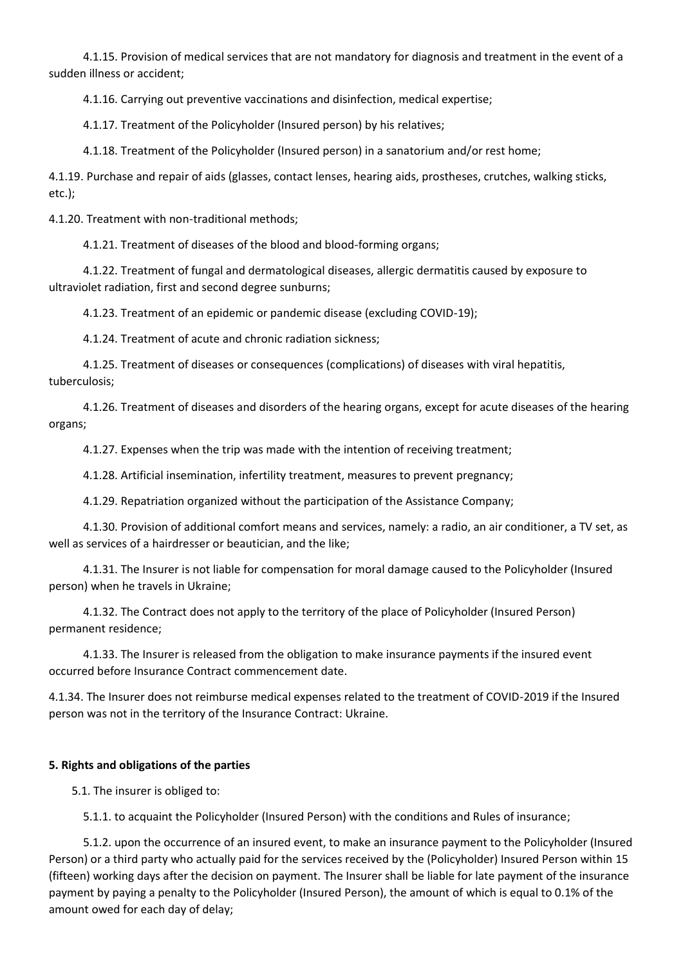4.1.15. Provision of medical services that are not mandatory for diagnosis and treatment in the event of a sudden illness or accident;

4.1.16. Carrying out preventive vaccinations and disinfection, medical expertise;

4.1.17. Treatment of the Policyholder (Insured person) by his relatives;

4.1.18. Treatment of the Policyholder (Insured person) in a sanatorium and/or rest home;

4.1.19. Purchase and repair of aids (glasses, contact lenses, hearing aids, prostheses, crutches, walking sticks, etc.);

4.1.20. Treatment with non-traditional methods;

4.1.21. Treatment of diseases of the blood and blood-forming organs;

 4.1.22. Treatment of fungal and dermatological diseases, allergic dermatitis caused by exposure to ultraviolet radiation, first and second degree sunburns;

4.1.23. Treatment of an epidemic or pandemic disease (excluding COVID-19);

4.1.24. Treatment of acute and chronic radiation sickness;

 4.1.25. Treatment of diseases or consequences (complications) of diseases with viral hepatitis, tuberculosis;

 4.1.26. Treatment of diseases and disorders of the hearing organs, except for acute diseases of the hearing organs;

4.1.27. Expenses when the trip was made with the intention of receiving treatment;

4.1.28. Artificial insemination, infertility treatment, measures to prevent pregnancy;

4.1.29. Repatriation organized without the participation of the Assistance Company;

 4.1.30. Provision of additional comfort means and services, namely: a radio, an air conditioner, a TV set, as well as services of a hairdresser or beautician, and the like;

 4.1.31. The Insurer is not liable for compensation for moral damage caused to the Policyholder (Insured person) when he travels in Ukraine;

 4.1.32. The Contract does not apply to the territory of the place of Policyholder (Insured Person) permanent residence;

 4.1.33. The Insurer is released from the obligation to make insurance payments if the insured event occurred before Insurance Contract commencement date.

4.1.34. The Insurer does not reimburse medical expenses related to the treatment of COVID-2019 if the Insured person was not in the territory of the Insurance Contract: Ukraine.

#### **5. Rights and obligations of the parties**

5.1. The insurer is obliged to:

5.1.1. to acquaint the Policyholder (Insured Person) with the conditions and Rules of insurance;

 5.1.2. upon the occurrence of an insured event, to make an insurance payment to the Policyholder (Insured Person) or a third party who actually paid for the services received by the (Policyholder) Insured Person within 15 (fifteen) working days after the decision on payment. The Insurer shall be liable for late payment of the insurance payment by paying a penalty to the Policyholder (Insured Person), the amount of which is equal to 0.1% of the amount owed for each day of delay;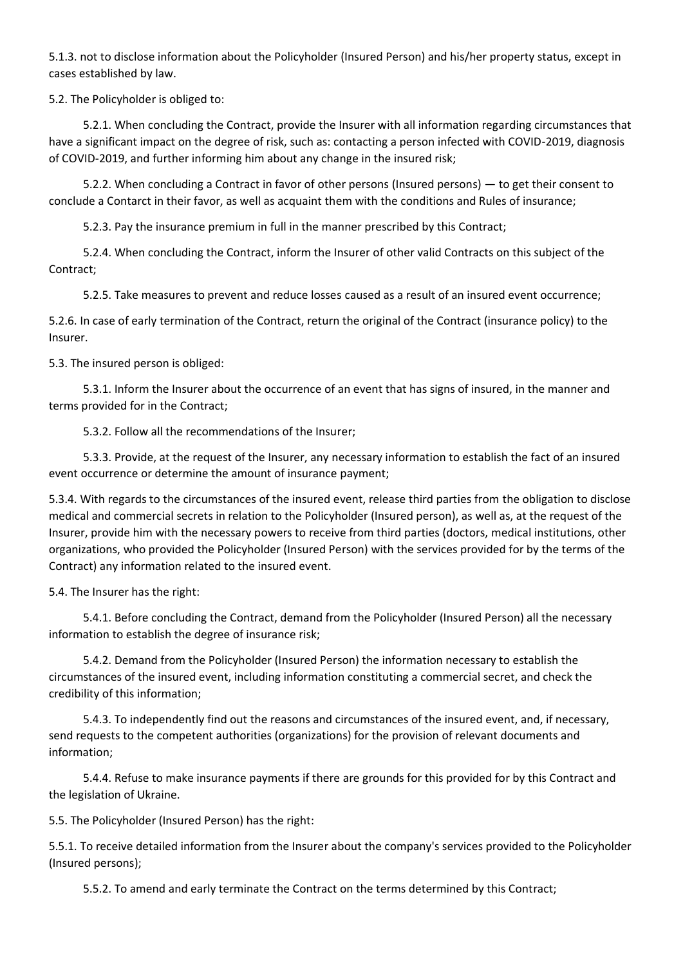5.1.3. not to disclose information about the Policyholder (Insured Person) and his/her property status, except in cases established by law.

5.2. The Policyholder is obliged to:

 5.2.1. When concluding the Contract, provide the Insurer with all information regarding circumstances that have a significant impact on the degree of risk, such as: contacting a person infected with COVID-2019, diagnosis of COVID-2019, and further informing him about any change in the insured risk;

 5.2.2. When concluding a Contract in favor of other persons (Insured persons) — to get their consent to conclude a Contarct in their favor, as well as acquaint them with the conditions and Rules of insurance;

5.2.3. Pay the insurance premium in full in the manner prescribed by this Contract;

 5.2.4. When concluding the Contract, inform the Insurer of other valid Contracts on this subject of the Contract;

5.2.5. Take measures to prevent and reduce losses caused as a result of an insured event occurrence;

5.2.6. In case of early termination of the Contract, return the original of the Contract (insurance policy) to the Insurer.

5.3. The insured person is obliged:

 5.3.1. Inform the Insurer about the occurrence of an event that has signs of insured, in the manner and terms provided for in the Contract;

5.3.2. Follow all the recommendations of the Insurer;

 5.3.3. Provide, at the request of the Insurer, any necessary information to establish the fact of an insured event occurrence or determine the amount of insurance payment;

5.3.4. With regards to the circumstances of the insured event, release third parties from the obligation to disclose medical and commercial secrets in relation to the Policyholder (Insured person), as well as, at the request of the Insurer, provide him with the necessary powers to receive from third parties (doctors, medical institutions, other organizations, who provided the Policyholder (Insured Person) with the services provided for by the terms of the Contract) any information related to the insured event.

5.4. The Insurer has the right:

 5.4.1. Before concluding the Contract, demand from the Policyholder (Insured Person) all the necessary information to establish the degree of insurance risk;

 5.4.2. Demand from the Policyholder (Insured Person) the information necessary to establish the circumstances of the insured event, including information constituting a commercial secret, and check the credibility of this information;

 5.4.3. To independently find out the reasons and circumstances of the insured event, and, if necessary, send requests to the competent authorities (organizations) for the provision of relevant documents and information;

 5.4.4. Refuse to make insurance payments if there are grounds for this provided for by this Contract and the legislation of Ukraine.

5.5. The Policyholder (Insured Person) has the right:

5.5.1. To receive detailed information from the Insurer about the company's services provided to the Policyholder (Insured persons);

5.5.2. To amend and early terminate the Contract on the terms determined by this Contract;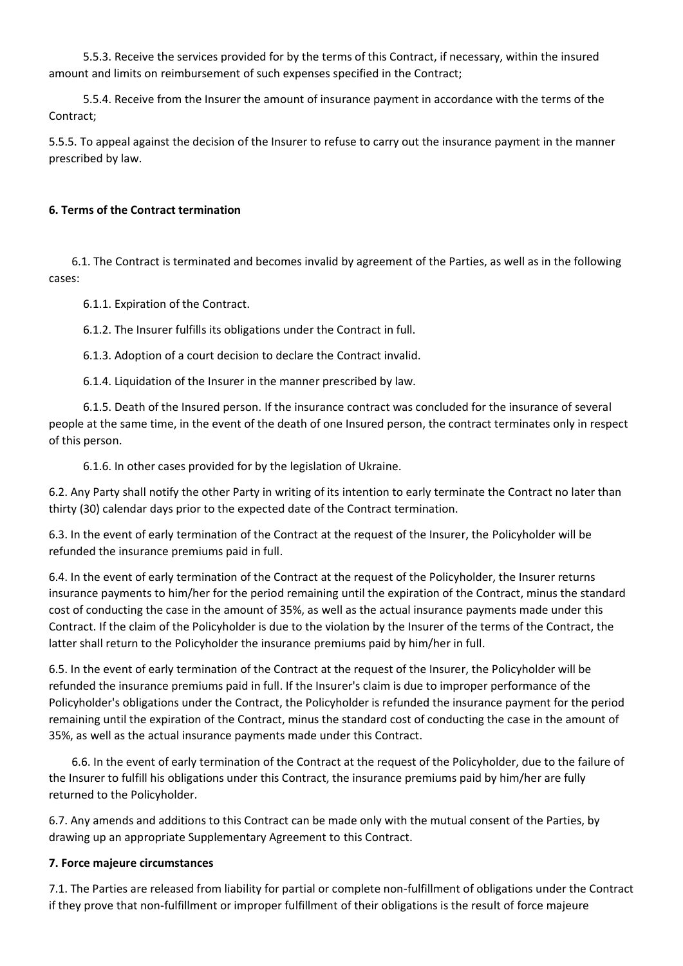5.5.3. Receive the services provided for by the terms of this Contract, if necessary, within the insured amount and limits on reimbursement of such expenses specified in the Contract;

 5.5.4. Receive from the Insurer the amount of insurance payment in accordance with the terms of the Contract;

5.5.5. To appeal against the decision of the Insurer to refuse to carry out the insurance payment in the manner prescribed by law.

#### **6. Terms of the Contract termination**

 6.1. The Contract is terminated and becomes invalid by agreement of the Parties, as well as in the following cases:

6.1.1. Expiration of the Contract.

6.1.2. The Insurer fulfills its obligations under the Contract in full.

6.1.3. Adoption of a court decision to declare the Contract invalid.

6.1.4. Liquidation of the Insurer in the manner prescribed by law.

 6.1.5. Death of the Insured person. If the insurance contract was concluded for the insurance of several people at the same time, in the event of the death of one Insured person, the contract terminates only in respect of this person.

6.1.6. In other cases provided for by the legislation of Ukraine.

6.2. Any Party shall notify the other Party in writing of its intention to early terminate the Contract no later than thirty (30) calendar days prior to the expected date of the Contract termination.

6.3. In the event of early termination of the Contract at the request of the Insurer, the Policyholder will be refunded the insurance premiums paid in full.

6.4. In the event of early termination of the Contract at the request of the Policyholder, the Insurer returns insurance payments to him/her for the period remaining until the expiration of the Contract, minus the standard cost of conducting the case in the amount of 35%, as well as the actual insurance payments made under this Contract. If the claim of the Policyholder is due to the violation by the Insurer of the terms of the Contract, the latter shall return to the Policyholder the insurance premiums paid by him/her in full.

6.5. In the event of early termination of the Contract at the request of the Insurer, the Policyholder will be refunded the insurance premiums paid in full. If the Insurer's claim is due to improper performance of the Policyholder's obligations under the Contract, the Policyholder is refunded the insurance payment for the period remaining until the expiration of the Contract, minus the standard cost of conducting the case in the amount of 35%, as well as the actual insurance payments made under this Contract.

 6.6. In the event of early termination of the Contract at the request of the Policyholder, due to the failure of the Insurer to fulfill his obligations under this Contract, the insurance premiums paid by him/her are fully returned to the Policyholder.

6.7. Any amends and additions to this Contract can be made only with the mutual consent of the Parties, by drawing up an appropriate Supplementary Agreement to this Contract.

#### **7. Force majeure circumstances**

7.1. The Parties are released from liability for partial or complete non-fulfillment of obligations under the Contract if they prove that non-fulfillment or improper fulfillment of their obligations is the result of force majeure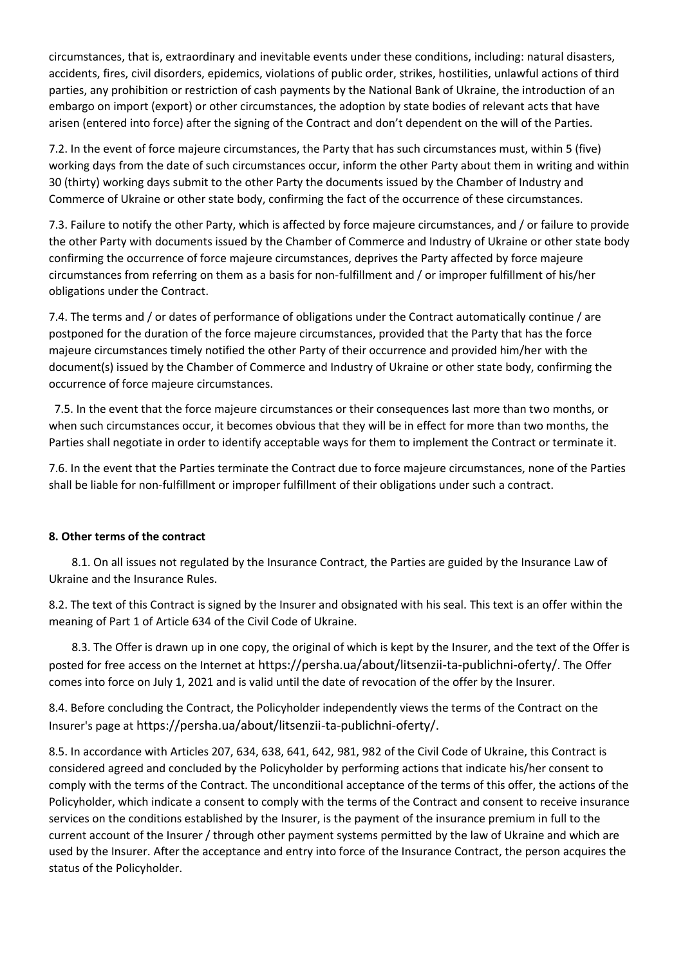circumstances, that is, extraordinary and inevitable events under these conditions, including: natural disasters, accidents, fires, civil disorders, epidemics, violations of public order, strikes, hostilities, unlawful actions of third parties, any prohibition or restriction of cash payments by the National Bank of Ukraine, the introduction of an embargo on import (export) or other circumstances, the adoption by state bodies of relevant acts that have arisen (entered into force) after the signing of the Contract and don't dependent on the will of the Parties.

7.2. In the event of force majeure circumstances, the Party that has such circumstances must, within 5 (five) working days from the date of such circumstances occur, inform the other Party about them in writing and within 30 (thirty) working days submit to the other Party the documents issued by the Chamber of Industry and Commerce of Ukraine or other state body, confirming the fact of the occurrence of these circumstances.

7.3. Failure to notify the other Party, which is affected by force majeure circumstances, and / or failure to provide the other Party with documents issued by the Chamber of Commerce and Industry of Ukraine or other state body confirming the occurrence of force majeure circumstances, deprives the Party affected by force majeure circumstances from referring on them as a basis for non-fulfillment and / or improper fulfillment of his/her obligations under the Contract.

7.4. The terms and / or dates of performance of obligations under the Contract automatically continue / are postponed for the duration of the force majeure circumstances, provided that the Party that has the force majeure circumstances timely notified the other Party of their occurrence and provided him/her with the document(s) issued by the Chamber of Commerce and Industry of Ukraine or other state body, confirming the occurrence of force majeure circumstances.

 7.5. In the event that the force majeure circumstances or their consequences last more than two months, or when such circumstances occur, it becomes obvious that they will be in effect for more than two months, the Parties shall negotiate in order to identify acceptable ways for them to implement the Contract or terminate it.

7.6. In the event that the Parties terminate the Contract due to force majeure circumstances, none of the Parties shall be liable for non-fulfillment or improper fulfillment of their obligations under such a contract.

## **8. Other terms of the contract**

 8.1. On all issues not regulated by the Insurance Contract, the Parties are guided by the Insurance Law of Ukraine and the Insurance Rules.

8.2. The text of this Contract is signed by the Insurer and obsignated with his seal. This text is an offer within the meaning of Part 1 of Article 634 of the Civil Code of Ukraine.

 8.3. The Offer is drawn up in one copy, the original of which is kept by the Insurer, and the text of the Offer is posted for free access on the Internet at https://persha.ua/about/litsenzii-ta-publichni-oferty/. The Offer comes into force on July 1, 2021 and is valid until the date of revocation of the offer by the Insurer.

8.4. Before concluding the Contract, the Policyholder independently views the terms of the Contract on the Insurer's page at https://persha.ua/about/litsenzii-ta-publichni-oferty/.

8.5. In accordance with Articles 207, 634, 638, 641, 642, 981, 982 of the Civil Code of Ukraine, this Contract is considered agreed and concluded by the Policyholder by performing actions that indicate his/her consent to comply with the terms of the Contract. The unconditional acceptance of the terms of this offer, the actions of the Policyholder, which indicate a consent to comply with the terms of the Contract and consent to receive insurance services on the conditions established by the Insurer, is the payment of the insurance premium in full to the current account of the Insurer / through other payment systems permitted by the law of Ukraine and which are used by the Insurer. After the acceptance and entry into force of the Insurance Contract, the person acquires the status of the Policyholder.